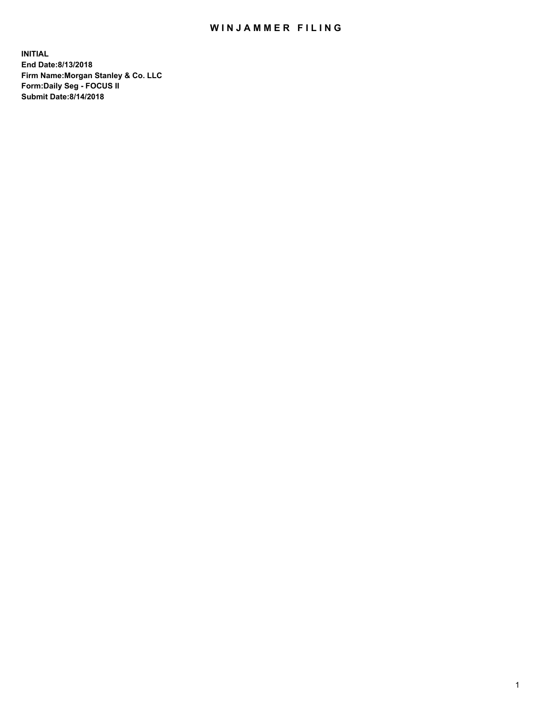## WIN JAMMER FILING

**INITIAL End Date:8/13/2018 Firm Name:Morgan Stanley & Co. LLC Form:Daily Seg - FOCUS II Submit Date:8/14/2018**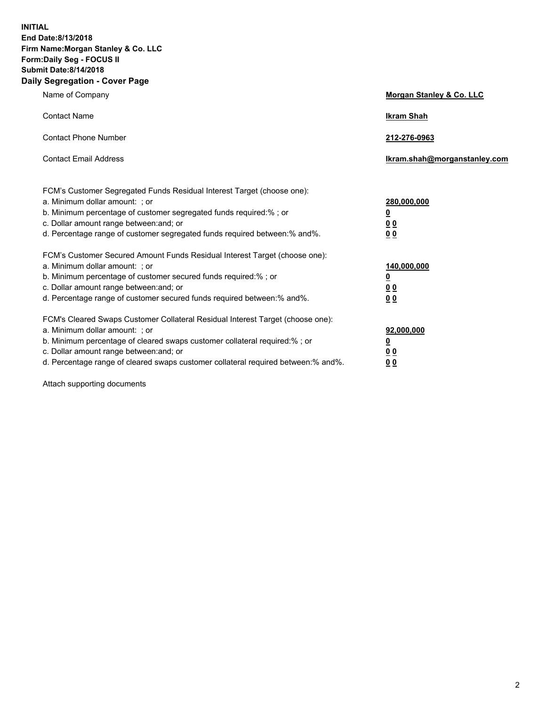**INITIAL End Date:8/13/2018 Firm Name:Morgan Stanley & Co. LLC Form:Daily Seg - FOCUS II Submit Date:8/14/2018 Daily Segregation - Cover Page**

| Name of Company                                                                                                                                                                                                                                                                                                                | Morgan Stanley & Co. LLC                               |
|--------------------------------------------------------------------------------------------------------------------------------------------------------------------------------------------------------------------------------------------------------------------------------------------------------------------------------|--------------------------------------------------------|
| <b>Contact Name</b>                                                                                                                                                                                                                                                                                                            | <b>Ikram Shah</b>                                      |
| <b>Contact Phone Number</b>                                                                                                                                                                                                                                                                                                    | 212-276-0963                                           |
| <b>Contact Email Address</b>                                                                                                                                                                                                                                                                                                   | lkram.shah@morganstanley.com                           |
| FCM's Customer Segregated Funds Residual Interest Target (choose one):<br>a. Minimum dollar amount: ; or<br>b. Minimum percentage of customer segregated funds required:% ; or<br>c. Dollar amount range between: and; or<br>d. Percentage range of customer segregated funds required between:% and%.                         | 280,000,000<br><u>0</u><br><u>0 0</u><br>0 Q           |
| FCM's Customer Secured Amount Funds Residual Interest Target (choose one):<br>a. Minimum dollar amount: ; or<br>b. Minimum percentage of customer secured funds required:%; or<br>c. Dollar amount range between: and; or<br>d. Percentage range of customer secured funds required between:% and%.                            | 140,000,000<br><u>0</u><br><u>00</u><br>0 <sub>0</sub> |
| FCM's Cleared Swaps Customer Collateral Residual Interest Target (choose one):<br>a. Minimum dollar amount: ; or<br>b. Minimum percentage of cleared swaps customer collateral required:% ; or<br>c. Dollar amount range between: and; or<br>d. Percentage range of cleared swaps customer collateral required between:% and%. | 92,000,000<br><u>0</u><br><u>00</u><br>0 <sup>0</sup>  |

Attach supporting documents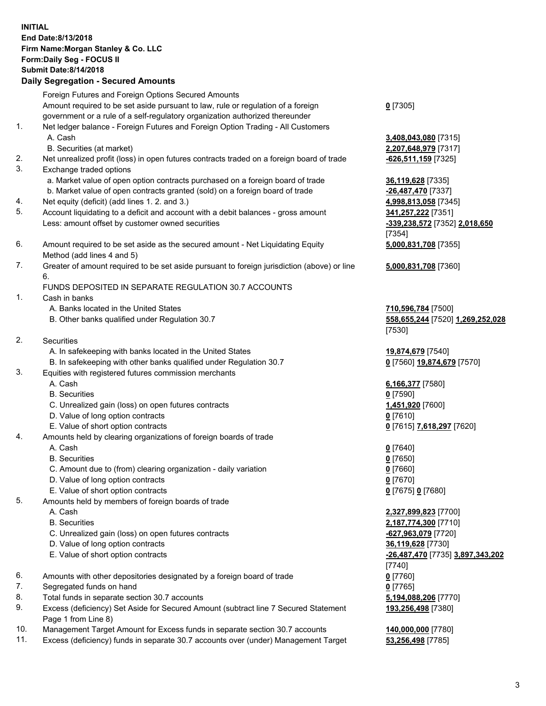## **INITIAL End Date:8/13/2018 Firm Name:Morgan Stanley & Co. LLC Form:Daily Seg - FOCUS II Submit Date:8/14/2018 Daily Segregation - Secured Amounts**

Foreign Futures and Foreign Options Secured Amounts Amount required to be set aside pursuant to law, rule or regulation of a foreign government or a rule of a self-regulatory organization authorized thereunder

- 1. Net ledger balance Foreign Futures and Foreign Option Trading All Customers A. Cash **3,408,043,080** [7315]
	- B. Securities (at market) **2,207,648,979** [7317]
- 2. Net unrealized profit (loss) in open futures contracts traded on a foreign board of trade **-626,511,159** [7325]
- 3. Exchange traded options
	- a. Market value of open option contracts purchased on a foreign board of trade **36,119,628** [7335]
	- b. Market value of open contracts granted (sold) on a foreign board of trade **-26,487,470** [7337]
- 4. Net equity (deficit) (add lines 1. 2. and 3.) **4,998,813,058** [7345]
- 5. Account liquidating to a deficit and account with a debit balances gross amount **341,257,222** [7351] Less: amount offset by customer owned securities **-339,238,572** [7352] **2,018,650**
- 6. Amount required to be set aside as the secured amount Net Liquidating Equity Method (add lines 4 and 5)
- 7. Greater of amount required to be set aside pursuant to foreign jurisdiction (above) or line 6.

## FUNDS DEPOSITED IN SEPARATE REGULATION 30.7 ACCOUNTS

- 1. Cash in banks
	- A. Banks located in the United States **710,596,784** [7500]
	- B. Other banks qualified under Regulation 30.7 **558,655,244** [7520] **1,269,252,028**
- 2. Securities
	- A. In safekeeping with banks located in the United States **19,874,679** [7540]
	- B. In safekeeping with other banks qualified under Regulation 30.7 **0** [7560] **19,874,679** [7570]
- 3. Equities with registered futures commission merchants
	-
	- B. Securities **0** [7590]
	- C. Unrealized gain (loss) on open futures contracts **1,451,920** [7600]
	- D. Value of long option contracts **0** [7610]
- E. Value of short option contracts **0** [7615] **7,618,297** [7620]
- 4. Amounts held by clearing organizations of foreign boards of trade
	- A. Cash **0** [7640]
	- B. Securities **0** [7650]
	- C. Amount due to (from) clearing organization daily variation **0** [7660]
	- D. Value of long option contracts **0** [7670]
	- E. Value of short option contracts **0** [7675] **0** [7680]
- 5. Amounts held by members of foreign boards of trade
	-
	-
	- C. Unrealized gain (loss) on open futures contracts **-627,963,079** [7720]
	- D. Value of long option contracts **36,119,628** [7730]
	- E. Value of short option contracts **-26,487,470** [7735] **3,897,343,202**
- 6. Amounts with other depositories designated by a foreign board of trade **0** [7760]
- 7. Segregated funds on hand **0** [7765]
- 8. Total funds in separate section 30.7 accounts **5,194,088,206** [7770]
- 9. Excess (deficiency) Set Aside for Secured Amount (subtract line 7 Secured Statement Page 1 from Line 8)
- 10. Management Target Amount for Excess funds in separate section 30.7 accounts **140,000,000** [7780]
- 11. Excess (deficiency) funds in separate 30.7 accounts over (under) Management Target **53,256,498** [7785]

**0** [7305]

[7354] **5,000,831,708** [7355]

**5,000,831,708** [7360]

[7530]

A. Cash **6,166,377** [7580]

 A. Cash **2,327,899,823** [7700] B. Securities **2,187,774,300** [7710] [7740] **193,256,498** [7380]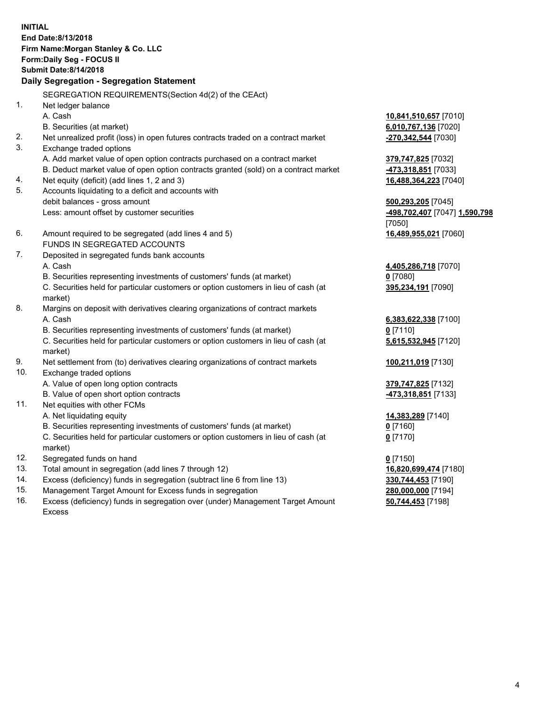**INITIAL End Date:8/13/2018 Firm Name:Morgan Stanley & Co. LLC Form:Daily Seg - FOCUS II Submit Date:8/14/2018 Daily Segregation - Segregation Statement** SEGREGATION REQUIREMENTS(Section 4d(2) of the CEAct) 1. Net ledger balance A. Cash **10,841,510,657** [7010] B. Securities (at market) **6,010,767,136** [7020] 2. Net unrealized profit (loss) in open futures contracts traded on a contract market **-270,342,544** [7030] 3. Exchange traded options A. Add market value of open option contracts purchased on a contract market **379,747,825** [7032] B. Deduct market value of open option contracts granted (sold) on a contract market **-473,318,851** [7033] 4. Net equity (deficit) (add lines 1, 2 and 3) **16,488,364,223** [7040] 5. Accounts liquidating to a deficit and accounts with debit balances - gross amount **500,293,205** [7045] Less: amount offset by customer securities **-498,702,407** [7047] **1,590,798** [7050] 6. Amount required to be segregated (add lines 4 and 5) **16,489,955,021** [7060] FUNDS IN SEGREGATED ACCOUNTS 7. Deposited in segregated funds bank accounts A. Cash **4,405,286,718** [7070] B. Securities representing investments of customers' funds (at market) **0** [7080] C. Securities held for particular customers or option customers in lieu of cash (at market) **395,234,191** [7090] 8. Margins on deposit with derivatives clearing organizations of contract markets A. Cash **6,383,622,338** [7100] B. Securities representing investments of customers' funds (at market) **0** [7110] C. Securities held for particular customers or option customers in lieu of cash (at market) **5,615,532,945** [7120] 9. Net settlement from (to) derivatives clearing organizations of contract markets **100,211,019** [7130] 10. Exchange traded options A. Value of open long option contracts **379,747,825** [7132] B. Value of open short option contracts **-473,318,851** [7133] 11. Net equities with other FCMs A. Net liquidating equity **14,383,289** [7140] B. Securities representing investments of customers' funds (at market) **0** [7160] C. Securities held for particular customers or option customers in lieu of cash (at market) **0** [7170] 12. Segregated funds on hand **0** [7150] 13. Total amount in segregation (add lines 7 through 12) **16,820,699,474** [7180] 14. Excess (deficiency) funds in segregation (subtract line 6 from line 13) **330,744,453** [7190]

- 15. Management Target Amount for Excess funds in segregation **280,000,000** [7194]
- 16. Excess (deficiency) funds in segregation over (under) Management Target Amount Excess

**50,744,453** [7198]